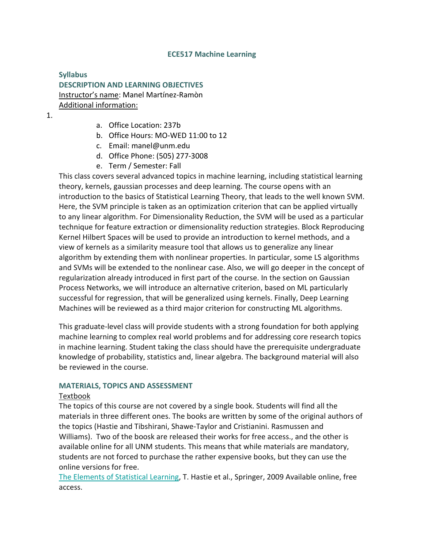#### **ECE517 Machine Learning**

## **Syllabus DESCRIPTION AND LEARNING OBJECTIVES** Instructor's name: Manel Martínez-Ramòn Additional information:

- 1.
- a. Office Location: 237b
- b. Office Hours: MO-WED 11:00 to 12
- c. Email: manel@unm.edu
- d. Office Phone: (505) 277-3008
- e. Term / Semester: Fall

This class covers several advanced topics in machine learning, including statistical learning theory, kernels, gaussian processes and deep learning. The course opens with an introduction to the basics of Statistical Learning Theory, that leads to the well known SVM. Here, the SVM principle is taken as an optimization criterion that can be applied virtually to any linear algorithm. For Dimensionality Reduction, the SVM will be used as a particular technique for feature extraction or dimensionality reduction strategies. Block Reproducing Kernel Hilbert Spaces will be used to provide an introduction to kernel methods, and a view of kernels as a similarity measure tool that allows us to generalize any linear algorithm by extending them with nonlinear properties. In particular, some LS algorithms and SVMs will be extended to the nonlinear case. Also, we will go deeper in the concept of regularization already introduced in first part of the course. In the section on Gaussian Process Networks, we will introduce an alternative criterion, based on ML particularly successful for regression, that will be generalized using kernels. Finally, Deep Learning Machines will be reviewed as a third major criterion for constructing ML algorithms.

This graduate-level class will provide students with a strong foundation for both applying machine learning to complex real world problems and for addressing core research topics in machine learning. Student taking the class should have the prerequisite undergraduate knowledge of probability, statistics and, linear algebra. The background material will also be reviewed in the course.

#### **MATERIALS, TOPICS AND ASSESSMENT**

#### Textbook

The topics of this course are not covered by a single book. Students will find all the materials in three different ones. The books are written by some of the original authors of the topics (Hastie and Tibshirani, Shawe-Taylor and Cristianini. Rasmussen and Williams). Two of the boosk are released their works for free access., and the other is available online for all UNM students. This means that while materials are mandatory, students are not forced to purchase the rather expensive books, but they can use the online versions for free.

The Elements of [Statistical](http://statweb.stanford.edu/%7Etibs/ElemStatLearn/) Learning, T. Hastie et al., Springer, 2009 Available online, free access.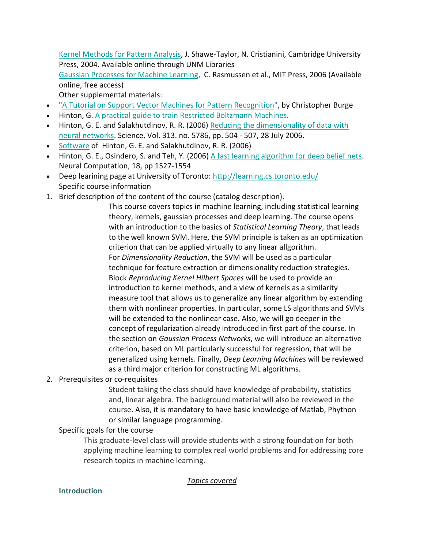Kernel [Methods](http://site.ebrary.com.libproxy.unm.edu/lib/unma/docDetail.action?docID=10131674) for Pattern Analysis, J. Shawe-Taylor, N. Cristianini, Cambridge University Press, 2004. Available online through UNM Libraries

Gaussian [Processes](http://www.gaussianprocess.org/gpml/) for Machine Learning, C. Rasmussen et al., MIT Press, 2006 (Available online, free access)

Other supplemental materials:

- "A Tutorial on Support Vector Machines for Pattern [Recognition"](http://research.microsoft.com/pubs/67119/svmtutorial.pdf), by Christopher Burge
- Hinton, G. A practical guide to train Restricted [Boltzmann](http://www.cs.toronto.edu/%7Ehinton/absps/guideTR.pdf) Machines.
- Hinton, G. E. and Salakhutdinov, R. R. (2006) Reducing the [dimensionality](http://www.cs.toronto.edu/%7Ehinton/science.pdf) of data with neural [networks.](http://www.cs.toronto.edu/%7Ehinton/science.pdf) Science, Vol. 313. no. 5786, pp. 504 - 507, 28 July 2006.
- [Software](http://www.cs.toronto.edu/%7Ehinton/MatlabForSciencePaper.html) of Hinton, G. E. and Salakhutdinov, R. R. (2006)
- Hinton, G. E., Osindero, S. and Teh, Y. (2006) A fast learning [algorithm](http://www.cs.toronto.edu/%7Ehinton/absps/ncfast.pdf) for deep belief nets. Neural Computation, 18, pp 1527-1554
- Deep learining page at University of Toronto: <http://learning.cs.toronto.edu/> Specific course information
- 1. Brief description of the content of the course (catalog description).

This course covers topics in machine learning, including statistical learning theory, kernels, gaussian processes and deep learning. The course opens with an introduction to the basics of *Statistical Learning Theory*, that leads to the well known SVM. Here, the SVM principle is taken as an optimization criterion that can be applied virtually to any linear allgorithm. For *Dimensionality Reduction*, the SVM will be used as a particular technique for feature extraction or dimensionality reduction strategies. Block *Reproducing Kernel Hilbert Spaces* will be used to provide an introduction to kernel methods, and a view of kernels as a similarity measure tool that allows us to generalize any linear algorithm by extending them with nonlinear properties. In particular, some LS algorithms and SVMs will be extended to the nonlinear case. Also, we will go deeper in the concept of regularization already introduced in first part of the course. In the section on *Gaussian Process Networks*, we will introduce an alternative criterion, based on ML particularly successful for regression, that will be generalized using kernels. Finally, *Deep Learning Machines* will be reviewed as a third major criterion for constructing ML algorithms.

2. Prerequisites or co-requisites

Student taking the class should have knowledge of probability, statistics and, linear algebra. The background material will also be reviewed in the course. Also, it is mandatory to have basic knowledge of Matlab, Phython or similar language programming.

## Specific goals for the course

This graduate-level class will provide students with a strong foundation for both applying machine learning to complex real world problems and for addressing core research topics in machine learning.

*Topics covered*

### **Introduction**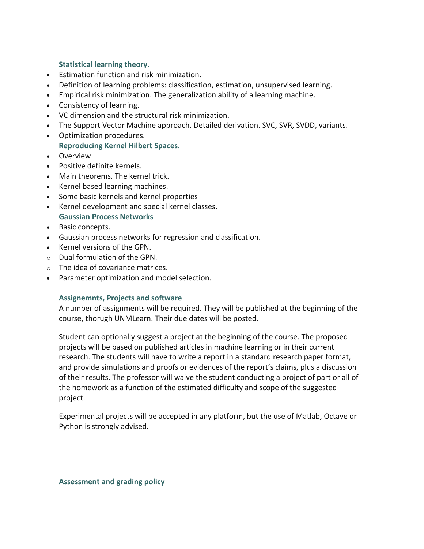### **Statistical learning theory.**

- Estimation function and risk minimization.
- Definition of learning problems: classification, estimation, unsupervised learning.
- Empirical risk minimization. The generalization ability of a learning machine.
- Consistency of learning.
- VC dimension and the structural risk minimization.
- The Support Vector Machine approach. Detailed derivation. SVC, SVR, SVDD, variants.
- Optimization procedures. **Reproducing Kernel Hilbert Spaces.**
- Overview
- Positive definite kernels.
- Main theorems. The kernel trick.
- Kernel based learning machines.
- Some basic kernels and kernel properties
- Kernel development and special kernel classes. **Gaussian Process Networks**
- Basic concepts.
- Gaussian process networks for regression and classification.
- Kernel versions of the GPN.
- o Dual formulation of the GPN.
- o The idea of covariance matrices.
- Parameter optimization and model selection.

### **Assignemnts, Projects and software**

A number of assignments will be required. They will be published at the beginning of the course, thorugh UNMLearn. Their due dates will be posted.

Student can optionally suggest a project at the beginning of the course. The proposed projects will be based on published articles in machine learning or in their current research. The students will have to write a report in a standard research paper format, and provide simulations and proofs or evidences of the report's claims, plus a discussion of their results. The professor will waive the student conducting a project of part or all of the homework as a function of the estimated difficulty and scope of the suggested project.

Experimental projects will be accepted in any platform, but the use of Matlab, Octave or Python is strongly advised.

#### **Assessment and grading policy**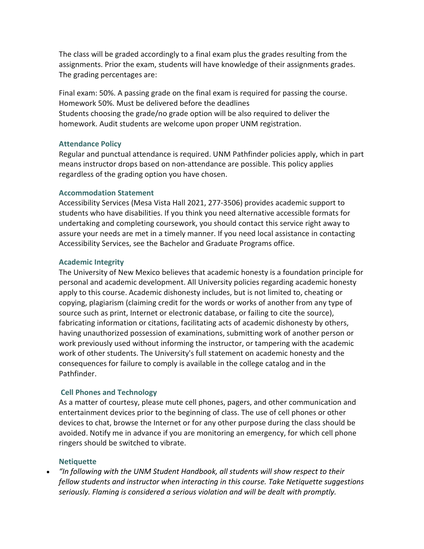The class will be graded accordingly to a final exam plus the grades resulting from the assignments. Prior the exam, students will have knowledge of their assignments grades. The grading percentages are:

Final exam: 50%. A passing grade on the final exam is required for passing the course. Homework 50%. Must be delivered before the deadlines Students choosing the grade/no grade option will be also required to deliver the homework. Audit students are welcome upon proper UNM registration.

### **Attendance Policy**

Regular and punctual attendance is required. UNM Pathfinder policies apply, which in part means instructor drops based on non-attendance are possible. This policy applies regardless of the grading option you have chosen.

### **Accommodation Statement**

Accessibility Services (Mesa Vista Hall 2021, 277-3506) provides academic support to students who have disabilities. If you think you need alternative accessible formats for undertaking and completing coursework, you should contact this service right away to assure your needs are met in a timely manner. If you need local assistance in contacting Accessibility Services, see the Bachelor and Graduate Programs office.

### **Academic Integrity**

The University of New Mexico believes that academic honesty is a foundation principle for personal and academic development. All University policies regarding academic honesty apply to this course. Academic dishonesty includes, but is not limited to, cheating or copying, plagiarism (claiming credit for the words or works of another from any type of source such as print, Internet or electronic database, or failing to cite the source), fabricating information or citations, facilitating acts of academic dishonesty by others, having unauthorized possession of examinations, submitting work of another person or work previously used without informing the instructor, or tampering with the academic work of other students. The University's full statement on academic honesty and the consequences for failure to comply is available in the college catalog and in the Pathfinder.

## **Cell Phones and Technology**

As a matter of courtesy, please mute cell phones, pagers, and other communication and entertainment devices prior to the beginning of class. The use of cell phones or other devices to chat, browse the Internet or for any other purpose during the class should be avoided. Notify me in advance if you are monitoring an emergency, for which cell phone ringers should be switched to vibrate.

## **Netiquette**

• *"In following with the UNM Student Handbook, all students will show respect to their fellow students and instructor when interacting in this course. Take Netiquette suggestions seriously. Flaming is considered a serious violation and will be dealt with promptly.*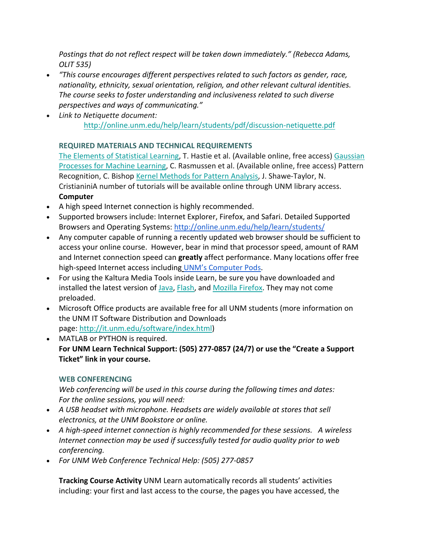*Postings that do not reflect respect will be taken down immediately." (Rebecca Adams, OLIT 535)*

- *"This course encourages different perspectives related to such factors as gender, race, nationality, ethnicity, sexual orientation, religion, and other relevant cultural identities. The course seeks to foster understanding and inclusiveness related to such diverse perspectives and ways of communicating."*
- *Link to Netiquette document:* <http://online.unm.edu/help/learn/students/pdf/discussion-netiquette.pdf>

# **REQUIRED MATERIALS AND TECHNICAL REQUIREMENTS**

The Elements of [Statistical](http://statweb.stanford.edu/%7Etibs/ElemStatLearn/) Learning, T. Hastie et al. (Available online, free access) [Gaussian](http://www.gaussianprocess.org/gpml/) [Processes](http://www.gaussianprocess.org/gpml/) for Machine Learning, C. Rasmussen et al. (Available online, free access) Pattern Recognition, C. Bishop Kernel [Methods](http://www.kernel-methods.net/toc.html) for Pattern Analysis, J. Shawe-Taylor, N. CristianiniA number of tutorials will be available online through UNM library access. **Computer**

- A high speed Internet connection is highly recommended.
- Supported browsers include: Internet Explorer, Firefox, and Safari. Detailed Supported Browsers and Operating Systems: <http://online.unm.edu/help/learn/students/>
- Any computer capable of running a recently updated web browser should be sufficient to access your online course. However, bear in mind that processor speed, amount of RAM and Internet connection speed can **greatly** affect performance. Many locations offer free high-speed Internet access including UNM's [Computer](http://it.unm.edu/pods/locations.html) Pods.
- For using the Kaltura Media Tools inside Learn, be sure you have downloaded and installed the latest version of [Java,](https://www.java.com/en/) [Flash,](https://get.adobe.com/flashplayer/) and Mozilla [Firefox.](https://www.mozilla.org/en-US/) They may not come preloaded.
- Microsoft Office products are available free for all UNM students (more information on the UNM IT Software Distribution and Downloads page: [http://it.unm.edu/software/index.html\)](http://it.unm.edu/software/index.html)
- MATLAB or PYTHON is required. **For UNM Learn Technical Support: (505) 277-0857 (24/7) or use the "Create a Support Ticket" link in your course.**

# **WEB CONFERENCING**

*Web conferencing will be used in this course during the following times and dates: For the online sessions, you will need:*

- *A USB headset with microphone. Headsets are widely available at stores that sell electronics, at the UNM Bookstore or online.*
- *A high-speed internet connection is highly recommended for these sessions. A wireless Internet connection may be used if successfully tested for audio quality prior to web conferencing.*
- *For UNM Web Conference Technical Help: (505) 277-0857*

**Tracking Course Activity** UNM Learn automatically records all students' activities including: your first and last access to the course, the pages you have accessed, the